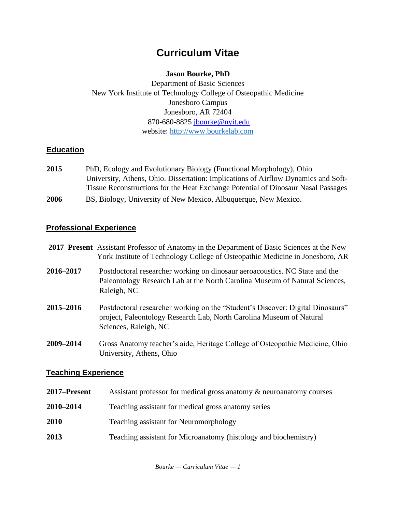# **Curriculum Vitae**

## **Jason Bourke, PhD**

Department of Basic Sciences New York Institute of Technology College of Osteopathic Medicine Jonesboro Campus Jonesboro, AR 72404 870-680-8825 jbourke@nyit.edu website: [http://www.bourkelab.com](http://www.bourkelab.com/)

## **Education**

- **2015** PhD, Ecology and Evolutionary Biology (Functional Morphology), Ohio University, Athens, Ohio. Dissertation: Implications of Airflow Dynamics and Soft-Tissue Reconstructions for the Heat Exchange Potential of Dinosaur Nasal Passages
- **2006** BS, Biology, University of New Mexico, Albuquerque, New Mexico.

## **Professional Experience**

|                            | 2017–Present Assistant Professor of Anatomy in the Department of Basic Sciences at the New<br>York Institute of Technology College of Osteopathic Medicine in Jonesboro, AR     |
|----------------------------|---------------------------------------------------------------------------------------------------------------------------------------------------------------------------------|
| 2016-2017                  | Postdoctoral researcher working on dinosaur aeroacoustics. NC State and the<br>Paleontology Research Lab at the North Carolina Museum of Natural Sciences,<br>Raleigh, NC       |
| 2015-2016                  | Postdoctoral researcher working on the "Student's Discover: Digital Dinosaurs"<br>project, Paleontology Research Lab, North Carolina Museum of Natural<br>Sciences, Raleigh, NC |
| 2009-2014                  | Gross Anatomy teacher's aide, Heritage College of Osteopathic Medicine, Ohio<br>University, Athens, Ohio                                                                        |
| <b>Teaching Experience</b> |                                                                                                                                                                                 |
| 2017–Present               | Assistant professor for medical gross anatomy & neuroanatomy courses                                                                                                            |

- **2010–2014** Teaching assistant for medical gross anatomy series
- **2010** Teaching assistant for Neuromorphology
- **2013** Teaching assistant for Microanatomy (histology and biochemistry)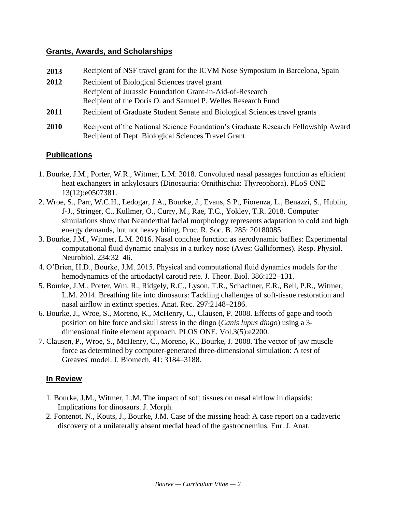#### **Grants, Awards, and Scholarships**

| 2013 | Recipient of NSF travel grant for the ICVM Nose Symposium in Barcelona, Spain     |
|------|-----------------------------------------------------------------------------------|
| 2012 | Recipient of Biological Sciences travel grant                                     |
|      | Recipient of Jurassic Foundation Grant-in-Aid-of-Research                         |
|      | Recipient of the Doris O. and Samuel P. Welles Research Fund                      |
| 2011 | Recipient of Graduate Student Senate and Biological Sciences travel grants        |
| 2010 | Recipient of the National Science Foundation's Graduate Research Fellowship Award |
|      | Recipient of Dept. Biological Sciences Travel Grant                               |

## **Publications**

- 1. Bourke, J.M., Porter, W.R., Witmer, L.M. 2018. Convoluted nasal passages function as efficient heat exchangers in ankylosaurs (Dinosauria: Ornithischia: Thyreophora). PLoS ONE 13(12):e0507381.
- 2. Wroe, S., Parr, W.C.H., Ledogar, J.A., Bourke, J., Evans, S.P., Fiorenza, L., Benazzi, S., Hublin, J-J., Stringer, C., Kullmer, O., Curry, M., Rae, T.C., Yokley, T.R. 2018. Computer simulations show that Neanderthal facial morphology represents adaptation to cold and high energy demands, but not heavy biting. Proc. R. Soc. B. 285: 20180085.
- 3. Bourke, J.M., Witmer, L.M. 2016. Nasal conchae function as aerodynamic baffles: Experimental computational fluid dynamic analysis in a turkey nose (Aves: Galliformes). Resp. Physiol. Neurobiol. 234:32–46.
- 4. O'Brien, H.D., Bourke, J.M. 2015. Physical and computational fluid dynamics models for the hemodynamics of the artiodactyl carotid rete. J. Theor. Biol. 386:122–131.
- 5. Bourke, J.M., Porter, Wm. R., Ridgely, R.C., Lyson, T.R., Schachner, E.R., Bell, P.R., Witmer, L.M. 2014. Breathing life into dinosaurs: Tackling challenges of soft-tissue restoration and nasal airflow in extinct species. Anat. Rec. 297:2148–2186.
- 6. Bourke, J., Wroe, S., Moreno, K., McHenry, C., Clausen, P. 2008. Effects of gape and tooth position on bite force and skull stress in the dingo (*Canis lupus dingo*) using a 3 dimensional finite element approach. PLOS ONE. Vol.3(5):e2200.
- 7. Clausen, P., Wroe, S., McHenry, C., Moreno, K., Bourke, J. 2008. The vector of jaw muscle force as determined by computer-generated three-dimensional simulation: A test of Greaves' model. J. Biomech. 41: 3184–3188.

#### **In Review**

- 1. Bourke, J.M., Witmer, L.M. The impact of soft tissues on nasal airflow in diapsids: Implications for dinosaurs. J. Morph.
- 2. Fontenot, N., Kouts, J., Bourke, J.M. Case of the missing head: A case report on a cadaveric discovery of a unilaterally absent medial head of the gastrocnemius. Eur. J. Anat.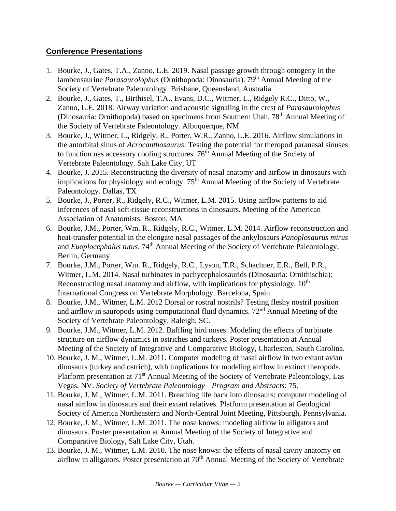## **Conference Presentations**

- 1. Bourke, J., Gates, T.A., Zanno, L.E. 2019. Nasal passage growth through ontogeny in the lambeosaurine *Parasaurolophus* (Ornithopoda: Dinosauria). 79<sup>th</sup> Annual Meeting of the Society of Vertebrate Paleontology. Brisbane, Queensland, Australia
- 2. Bourke, J., Gates, T., Birthisel, T.A., Evans, D.C., Witmer, L., Ridgely R.C., Ditto, W., Zanno, L.E. 2018. Airway variation and acoustic signaling in the crest of *Parasaurolophus* (Dinosauria: Ornithopoda) based on specimens from Southern Utah. 78<sup>th</sup> Annual Meeting of the Society of Vertebrate Paleontology. Albuquerque, NM
- 3. Bourke, J., Witmer, L., Ridgely, R., Porter, W.R., Zanno, L.E. 2016. Airflow simulations in the antorbital sinus of *Acrocanthosaurus*: Testing the potential for theropod paranasal sinuses to function nas accessory cooling structures. 76<sup>th</sup> Annual Meeting of the Society of Vertebrate Paleontology. Salt Lake City, UT
- 4. Bourke, J. 2015. Reconstructing the diversity of nasal anatomy and airflow in dinosaurs with implications for physiology and ecology.  $75<sup>th</sup>$  Annual Meeting of the Society of Vertebrate Paleontology. Dallas, TX
- 5. Bourke, J., Porter, R., Ridgely, R.C., Witmer, L.M. 2015. Using airflow patterns to aid inferences of nasal soft-tissue reconstructions in dinosaurs. Meeting of the American Association of Anatomists. Boston, MA
- 6. Bourke, J.M., Porter, Wm. R., Ridgely, R.C., Witmer, L.M. 2014. Airflow reconstruction and heat-transfer potential in the elongate nasal passages of the ankylosaurs *Panoplosaurus mirus*  and *Euoplocephalus tutus*. 74<sup>th</sup> Annual Meeting of the Society of Vertebrate Paleontology, Berlin, Germany
- 7. Bourke, J.M., Porter, Wm. R., Ridgely, R.C., Lyson, T.R., Schachner, E.R., Bell, P.R., Witmer, L.M. 2014. Nasal turbinates in pachycephalosaurids (Dinosauria: Ornithischia): Reconstructing nasal anatomy and airflow, with implications for physiology.  $10<sup>th</sup>$ International Congress on Vertebrate Morphology. Barcelona, Spain.
- 8. Bourke, J.M., Witmer, L.M. 2012 Dorsal or rostral nostrils? Testing fleshy nostril position and airflow in sauropods using computational fluid dynamics.  $72<sup>nd</sup>$  Annual Meeting of the Society of Vertebrate Paleontology, Raleigh, SC.
- 9. Bourke, J.M., Witmer, L.M. 2012. Baffling bird noses: Modeling the effects of turbinate structure on airflow dynamics in ostriches and turkeys. Poster presentation at Annual Meeting of the Society of Integrative and Comparative Biology, Charleston, South Carolina.
- 10. Bourke, J. M., Witmer, L.M. 2011. Computer modeling of nasal airflow in two extant avian dinosaurs (turkey and ostrich), with implications for modeling airflow in extinct theropods. Platform presentation at 71<sup>st</sup> Annual Meeting of the Society of Vertebrate Paleontology, Las Vegas, NV. *Society of Vertebrate Paleontology—Program and Abstracts*: 75.
- 11. Bourke, J. M., Witmer, L.M. 2011. Breathing life back into dinosaurs: computer modeling of nasal airflow in dinosaurs and their extant relatives. Platform presentation at Geological Society of America Northeastern and North-Central Joint Meeting, Pittsburgh, Pennsylvania.
- 12. Bourke, J. M., Witmer, L.M. 2011. The nose knows: modeling airflow in alligators and dinosaurs. Poster presentation at Annual Meeting of the Society of Integrative and Comparative Biology, Salt Lake City, Utah.
- 13. Bourke, J. M., Witmer, L.M. 2010. The nose knows: the effects of nasal cavity anatomy on airflow in alligators. Poster presentation at  $70<sup>th</sup>$  Annual Meeting of the Society of Vertebrate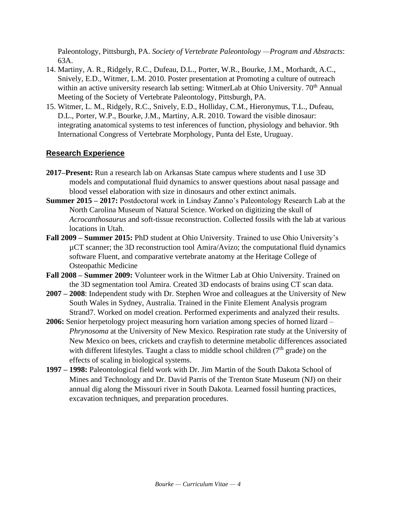Paleontology, Pittsburgh, PA. *Society of Vertebrate Paleontology —Program and Abstracts*: 63A.

- 14. Martiny, A. R., Ridgely, R.C., Dufeau, D.L., Porter, W.R., Bourke, J.M., Morhardt, A.C., Snively, E.D., Witmer, L.M. 2010. Poster presentation at Promoting a culture of outreach within an active university research lab setting: WitmerLab at Ohio University. 70<sup>th</sup> Annual Meeting of the Society of Vertebrate Paleontology, Pittsburgh, PA.
- 15. Witmer, L. M., Ridgely, R.C., Snively, E.D., Holliday, C.M., Hieronymus, T.L., Dufeau, D.L., Porter, W.P., Bourke, J.M., Martiny, A.R. 2010. Toward the visible dinosaur: integrating anatomical systems to test inferences of function, physiology and behavior. 9th International Congress of Vertebrate Morphology, Punta del Este, Uruguay.

## **Research Experience**

- **2017–Present:** Run a research lab on Arkansas State campus where students and I use 3D models and computational fluid dynamics to answer questions about nasal passage and blood vessel elaboration with size in dinosaurs and other extinct animals.
- **Summer 2015 – 2017:** Postdoctoral work in Lindsay Zanno's Paleontology Research Lab at the North Carolina Museum of Natural Science. Worked on digitizing the skull of *Acrocanthosaurus* and soft-tissue reconstruction. Collected fossils with the lab at various locations in Utah.
- **Fall 2009 – Summer 2015:** PhD student at Ohio University. Trained to use Ohio University's µCT scanner; the 3D reconstruction tool Amira/Avizo; the computational fluid dynamics software Fluent, and comparative vertebrate anatomy at the Heritage College of Osteopathic Medicine
- **Fall 2008 – Summer 2009:** Volunteer work in the Witmer Lab at Ohio University. Trained on the 3D segmentation tool Amira. Created 3D endocasts of brains using CT scan data.
- **2007 – 2008**: Independent study with Dr. Stephen Wroe and colleagues at the University of New South Wales in Sydney, Australia. Trained in the Finite Element Analysis program Strand7. Worked on model creation. Performed experiments and analyzed their results.
- **2006:** Senior herpetology project measuring horn variation among species of horned lizard *Phrynosoma* at the University of New Mexico. Respiration rate study at the University of New Mexico on bees, crickets and crayfish to determine metabolic differences associated with different lifestyles. Taught a class to middle school children  $(7<sup>th</sup>$  grade) on the effects of scaling in biological systems.
- **1997 – 1998:** Paleontological field work with Dr. Jim Martin of the South Dakota School of Mines and Technology and Dr. David Parris of the Trenton State Museum (NJ) on their annual dig along the Missouri river in South Dakota. Learned fossil hunting practices, excavation techniques, and preparation procedures.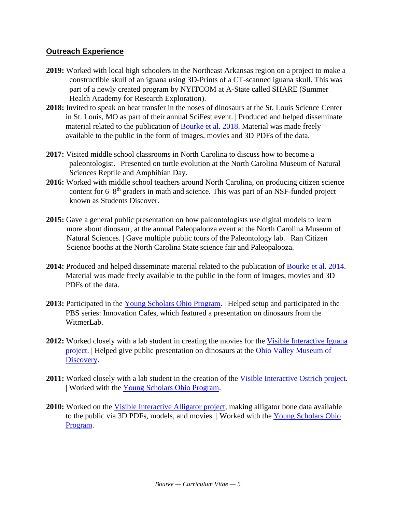#### **Outreach Experience**

- **2019:** Worked with local high schoolers in the Northeast Arkansas region on a project to make a constructible skull of an iguana using 3D-Prints of a CT-scanned iguana skull. This was part of a newly created program by NYITCOM at A-State called SHARE (Summer Health Academy for Research Exploration).
- **2018:** Invited to speak on heat transfer in the noses of dinosaurs at the St. Louis Science Center in St. Louis, MO as part of their annual SciFest event. | Produced and helped disseminate material related to the publication of [Bourke et al. 2018](https://www.bourkelab.com/ankylosaur-brain-ac)[.](http://www.ohio.edu/people/witmerl/pachy_airflow.htm) Material was made freely available to the public in the form of images, movies and 3D PDFs of the data.
- **2017:** Visited middle school classrooms in North Carolina to discuss how to become a paleontologist. | Presented on turtle evolution at the North Carolina Museum of Natural Sciences Reptile and Amphibian Day.
- **2016:** Worked with middle school teachers around North Carolina, on producing citizen science content for 6–8<sup>th</sup> graders in math and science. This was part of an NSF-funded project known as Students Discover.
- **2015:** Gave a general public presentation on how paleontologists use digital models to learn more about dinosaur, at the annual Paleopalooza event at the North Carolina Museum of Natural Sciences. | Gave multiple public tours of the Paleontology lab. | Ran Citizen Science booths at the North Carolina State science fair and Paleopalooza.
- **2014:** Produced and helped disseminate material related to the publication of [Bourke et al. 2014.](http://www.ohio.edu/people/witmerl/pachy_airflow.htm) Material was made freely available to the public in the form of images, movies and 3D PDFs of the data.
- **2013:** Participated in the [Young Scholars Ohio Program.](http://www.ohio.edu/people/witmerl/Young_Scholars_2013.htm) | Helped setup and participated in the PBS series: Innovation Cafes, which featured a presentation on dinosaurs from the WitmerLab.
- **2012:** Worked closely with a lab student in creating the movies for the [Visible Interactive Iguana](http://www.ohio.edu/people/witmerl/3D_iguana.htm) [project.](http://www.ohio.edu/people/witmerl/3D_iguana.htm) | Helped give public presentation on dinosaurs at the [Ohio Valley Museum of](https://www.facebook.com/pg/witmerlab/photos/?tab=album&album_id=10151236549998280)  [Discovery.](https://www.facebook.com/pg/witmerlab/photos/?tab=album&album_id=10151236549998280)
- **2011:** Worked closely with a lab student in the creation of the [Visible Interactive Ostrich project.](http://www.ohio.edu/people/witmerl/3D_ostrich.htm) | Worked with the [Young Scholars Ohio Program.](http://www.ohio.edu/people/witmerl/Young_Scholars_2011.htm)
- **2010:** Worked on the [Visible Interactive Alligator project,](http://www.ohio.edu/people/witmerl/3D_gator.htm) making alligator bone data available to the public via 3D PDFs, models, and movies. | Worked with the [Young](http://www.ohio.edu/people/witmerl/Young_Scholars_2010.htm) [Scholars Ohio](http://www.ohio.edu/people/witmerl/Young_Scholars_2010.htm) [Program.](http://www.ohio.edu/people/witmerl/Young_Scholars_2010.htm)